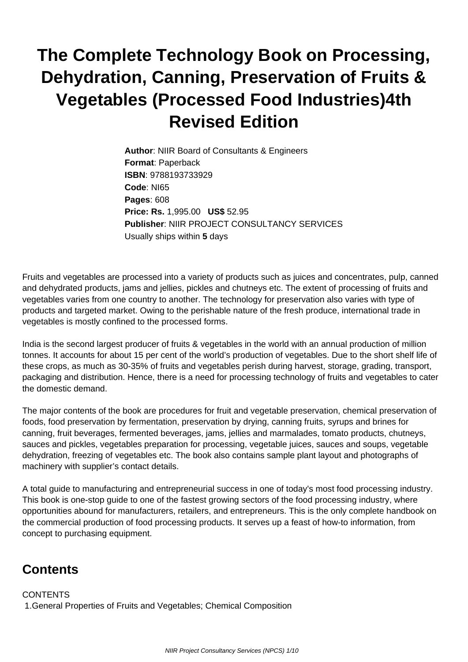## **The Complete Technology Book on Processing, Dehydration, Canning, Preservation of Fruits & Vegetables (Processed Food Industries)4th Revised Edition**

**Author**: NIIR Board of Consultants & Engineers **Format**: Paperback **ISBN**: 9788193733929 **Code**: NI65 **Pages**: 608 **Price: Rs.** 1,995.00 **US\$** 52.95 **Publisher**: NIIR PROJECT CONSULTANCY SERVICES Usually ships within **5** days

Fruits and vegetables are processed into a variety of products such as juices and concentrates, pulp, canned and dehydrated products, jams and jellies, pickles and chutneys etc. The extent of processing of fruits and vegetables varies from one country to another. The technology for preservation also varies with type of products and targeted market. Owing to the perishable nature of the fresh produce, international trade in vegetables is mostly confined to the processed forms.

India is the second largest producer of fruits & vegetables in the world with an annual production of million tonnes. It accounts for about 15 per cent of the world's production of vegetables. Due to the short shelf life of these crops, as much as 30-35% of fruits and vegetables perish during harvest, storage, grading, transport, packaging and distribution. Hence, there is a need for processing technology of fruits and vegetables to cater the domestic demand.

The major contents of the book are procedures for fruit and vegetable preservation, chemical preservation of foods, food preservation by fermentation, preservation by drying, canning fruits, syrups and brines for canning, fruit beverages, fermented beverages, jams, jellies and marmalades, tomato products, chutneys, sauces and pickles, vegetables preparation for processing, vegetable juices, sauces and soups, vegetable dehydration, freezing of vegetables etc. The book also contains sample plant layout and photographs of machinery with supplier's contact details.

A total guide to manufacturing and entrepreneurial success in one of today's most food processing industry. This book is one-stop guide to one of the fastest growing sectors of the food processing industry, where opportunities abound for manufacturers, retailers, and entrepreneurs. This is the only complete handbook on the commercial production of food processing products. It serves up a feast of how-to information, from concept to purchasing equipment.

## **Contents**

**CONTENTS** 1.General Properties of Fruits and Vegetables; Chemical Composition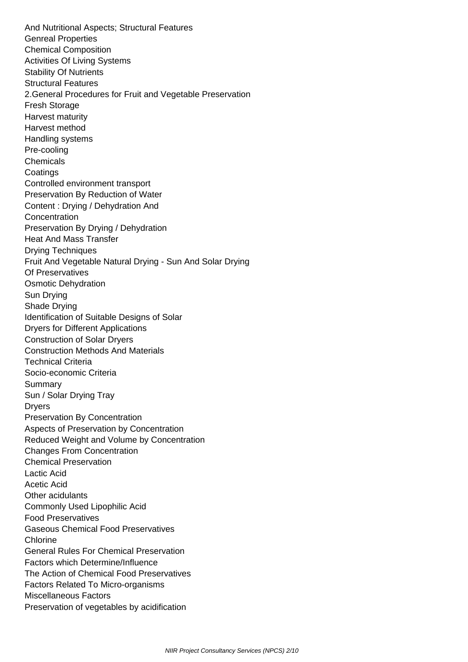And Nutritional Aspects; Structural Features Genreal Properties Chemical Composition Activities Of Living Systems Stability Of Nutrients Structural Features 2.General Procedures for Fruit and Vegetable Preservation Fresh Storage Harvest maturity Harvest method Handling systems Pre-cooling Chemicals **Coatings**  Controlled environment transport Preservation By Reduction of Water Content : Drying / Dehydration And Concentration Preservation By Drying / Dehydration Heat And Mass Transfer Drying Techniques Fruit And Vegetable Natural Drying - Sun And Solar Drying Of Preservatives Osmotic Dehydration Sun Drying Shade Drying Identification of Suitable Designs of Solar Dryers for Different Applications Construction of Solar Dryers Construction Methods And Materials Technical Criteria Socio-economic Criteria Summary Sun / Solar Drying Tray Dryers Preservation By Concentration Aspects of Preservation by Concentration Reduced Weight and Volume by Concentration Changes From Concentration Chemical Preservation Lactic Acid Acetic Acid Other acidulants Commonly Used Lipophilic Acid Food Preservatives Gaseous Chemical Food Preservatives Chlorine General Rules For Chemical Preservation Factors which Determine/Influence The Action of Chemical Food Preservatives Factors Related To Micro-organisms Miscellaneous Factors Preservation of vegetables by acidification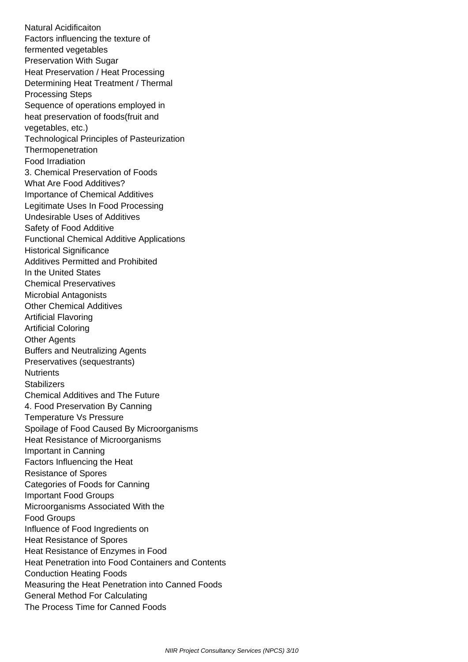Natural Acidificaiton Factors influencing the texture of fermented vegetables Preservation With Sugar Heat Preservation / Heat Processing Determining Heat Treatment / Thermal Processing Steps Sequence of operations employed in heat preservation of foods(fruit and vegetables, etc.) Technological Principles of Pasteurization **Thermopenetration**  Food Irradiation 3. Chemical Preservation of Foods What Are Food Additives? Importance of Chemical Additives Legitimate Uses In Food Processing Undesirable Uses of Additives Safety of Food Additive Functional Chemical Additive Applications Historical Significance Additives Permitted and Prohibited In the United States Chemical Preservatives Microbial Antagonists Other Chemical Additives Artificial Flavoring Artificial Coloring Other Agents Buffers and Neutralizing Agents Preservatives (sequestrants) **Nutrients Stabilizers**  Chemical Additives and The Future 4. Food Preservation By Canning Temperature Vs Pressure Spoilage of Food Caused By Microorganisms Heat Resistance of Microorganisms Important in Canning Factors Influencing the Heat Resistance of Spores Categories of Foods for Canning Important Food Groups Microorganisms Associated With the Food Groups Influence of Food Ingredients on Heat Resistance of Spores Heat Resistance of Enzymes in Food Heat Penetration into Food Containers and Contents Conduction Heating Foods Measuring the Heat Penetration into Canned Foods General Method For Calculating The Process Time for Canned Foods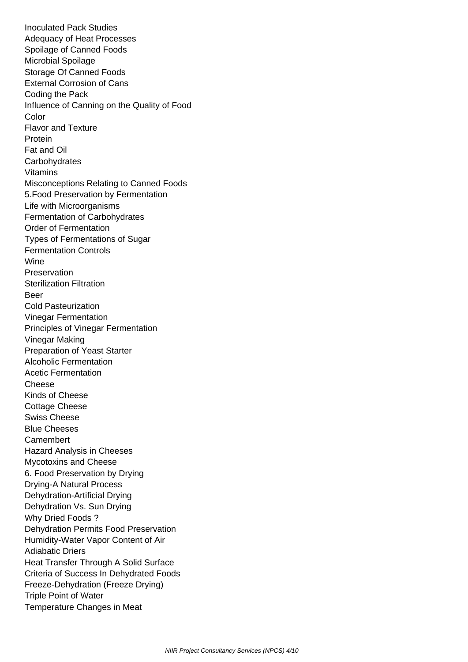Inoculated Pack Studies Adequacy of Heat Processes Spoilage of Canned Foods Microbial Spoilage Storage Of Canned Foods External Corrosion of Cans Coding the Pack Influence of Canning on the Quality of Food **Color**  Flavor and Texture Protein Fat and Oil **Carbohydrates**  Vitamins Misconceptions Relating to Canned Foods 5.Food Preservation by Fermentation Life with Microorganisms Fermentation of Carbohydrates Order of Fermentation Types of Fermentations of Sugar Fermentation Controls Wine Preservation Sterilization Filtration Beer Cold Pasteurization Vinegar Fermentation Principles of Vinegar Fermentation Vinegar Making Preparation of Yeast Starter Alcoholic Fermentation Acetic Fermentation Cheese Kinds of Cheese Cottage Cheese Swiss Cheese Blue Cheeses **Camembert**  Hazard Analysis in Cheeses Mycotoxins and Cheese 6. Food Preservation by Drying Drying-A Natural Process Dehydration-Artificial Drying Dehydration Vs. Sun Drying Why Dried Foods ? Dehydration Permits Food Preservation Humidity-Water Vapor Content of Air Adiabatic Driers Heat Transfer Through A Solid Surface Criteria of Success In Dehydrated Foods Freeze-Dehydration (Freeze Drying) Triple Point of Water Temperature Changes in Meat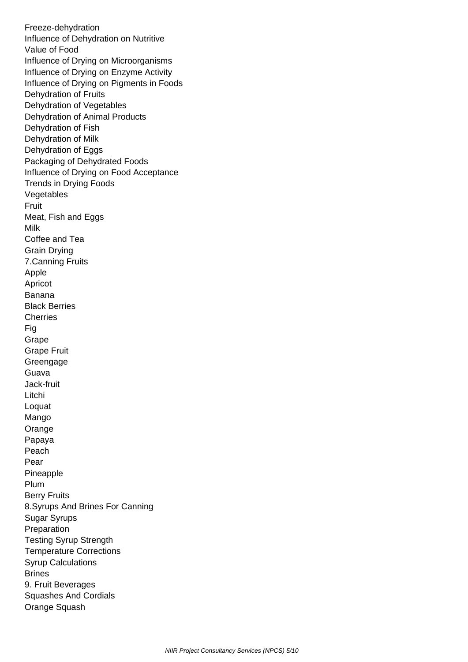Freeze-dehydration Influence of Dehydration on Nutritive Value of Food Influence of Drying on Microorganisms Influence of Drying on Enzyme Activity Influence of Drying on Pigments in Foods Dehydration of Fruits Dehydration of Vegetables Dehydration of Animal Products Dehydration of Fish Dehydration of Milk Dehydration of Eggs Packaging of Dehydrated Foods Influence of Drying on Food Acceptance Trends in Drying Foods Vegetables Fruit Meat, Fish and Eggs Milk Coffee and Tea Grain Drying 7.Canning Fruits Apple Apricot Banana Black Berries **Cherries**  Fig Grape Grape Fruit Greengage Guava Jack-fruit Litchi Loquat Mango Orange Papaya Peach Pear Pineapple Plum Berry Fruits 8.Syrups And Brines For Canning Sugar Syrups Preparation Testing Syrup Strength Temperature Corrections Syrup Calculations Brines 9. Fruit Beverages Squashes And Cordials Orange Squash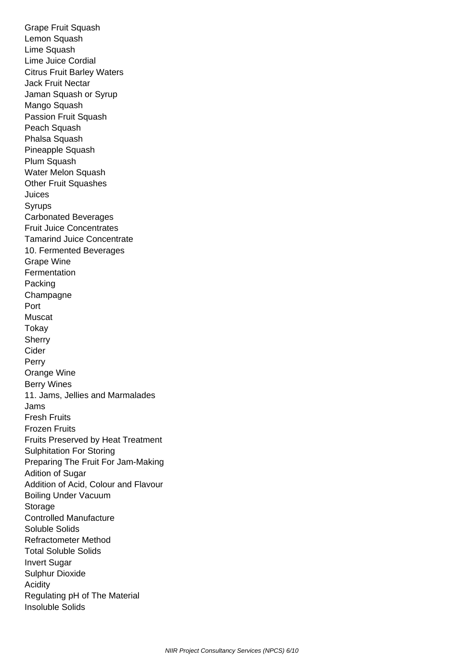Grape Fruit Squash Lemon Squash Lime Squash Lime Juice Cordial Citrus Fruit Barley Waters Jack Fruit Nectar Jaman Squash or Syrup Mango Squash Passion Fruit Squash Peach Squash Phalsa Squash Pineapple Squash Plum Squash Water Melon Squash Other Fruit Squashes Juices Syrups Carbonated Beverages Fruit Juice Concentrates Tamarind Juice Concentrate 10. Fermented Beverages Grape Wine **Fermentation**  Packing **Champagne**  Port Muscat **Tokay Sherry**  Cider Perry Orange Wine Berry Wines 11. Jams, Jellies and Marmalades Jams Fresh Fruits Frozen Fruits Fruits Preserved by Heat Treatment Sulphitation For Storing Preparing The Fruit For Jam-Making Adition of Sugar Addition of Acid, Colour and Flavour Boiling Under Vacuum Storage Controlled Manufacture Soluble Solids Refractometer Method Total Soluble Solids Invert Sugar Sulphur Dioxide Acidity Regulating pH of The Material Insoluble Solids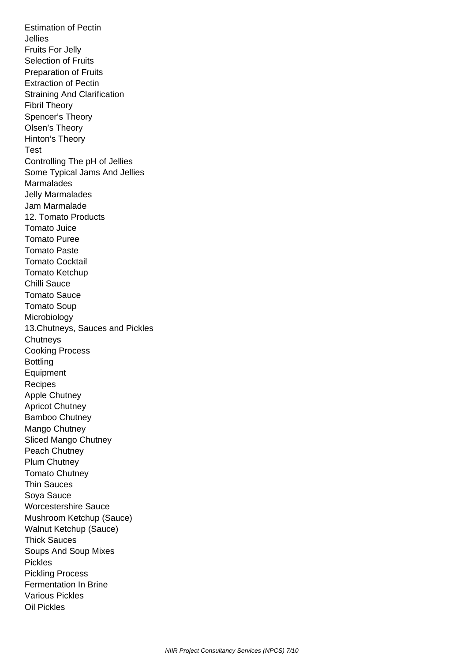Estimation of Pectin Jellies Fruits For Jelly Selection of Fruits Preparation of Fruits Extraction of Pectin Straining And Clarification Fibril Theory Spencer's Theory Olsen's Theory Hinton's Theory Test Controlling The pH of Jellies Some Typical Jams And Jellies Marmalades Jelly Marmalades Jam Marmalade 12. Tomato Products Tomato Juice Tomato Puree Tomato Paste Tomato Cocktail Tomato Ketchup Chilli Sauce Tomato Sauce Tomato Soup Microbiology 13.Chutneys, Sauces and Pickles **Chutneys**  Cooking Process **Bottling Equipment**  Recipes Apple Chutney Apricot Chutney Bamboo Chutney Mango Chutney Sliced Mango Chutney Peach Chutney Plum Chutney Tomato Chutney Thin Sauces Soya Sauce Worcestershire Sauce Mushroom Ketchup (Sauce) Walnut Ketchup (Sauce) Thick Sauces Soups And Soup Mixes Pickles Pickling Process Fermentation In Brine Various Pickles Oil Pickles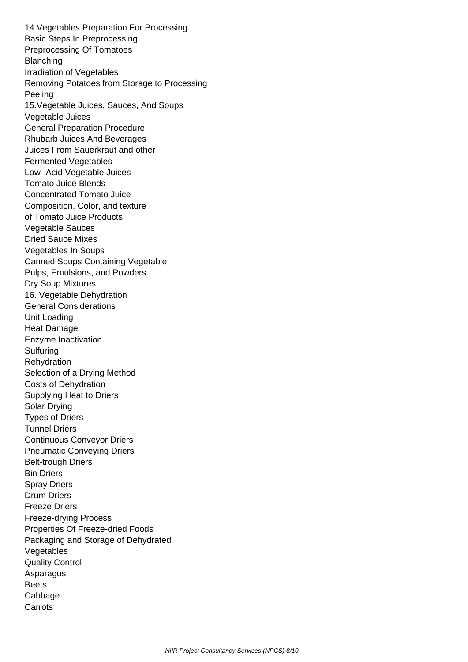14.Vegetables Preparation For Processing Basic Steps In Preprocessing Preprocessing Of Tomatoes **Blanching**  Irradiation of Vegetables Removing Potatoes from Storage to Processing Peeling 15.Vegetable Juices, Sauces, And Soups Vegetable Juices General Preparation Procedure Rhubarb Juices And Beverages Juices From Sauerkraut and other Fermented Vegetables Low- Acid Vegetable Juices Tomato Juice Blends Concentrated Tomato Juice Composition, Color, and texture of Tomato Juice Products Vegetable Sauces Dried Sauce Mixes Vegetables In Soups Canned Soups Containing Vegetable Pulps, Emulsions, and Powders Dry Soup Mixtures 16. Vegetable Dehydration General Considerations Unit Loading Heat Damage Enzyme Inactivation **Sulfuring Rehydration**  Selection of a Drying Method Costs of Dehydration Supplying Heat to Driers Solar Drying Types of Driers Tunnel Driers Continuous Conveyor Driers Pneumatic Conveying Driers Belt-trough Driers Bin Driers Spray Driers Drum Driers Freeze Driers Freeze-drying Process Properties Of Freeze-dried Foods Packaging and Storage of Dehydrated Vegetables Quality Control **Asparagus Beets**  Cabbage **Carrots**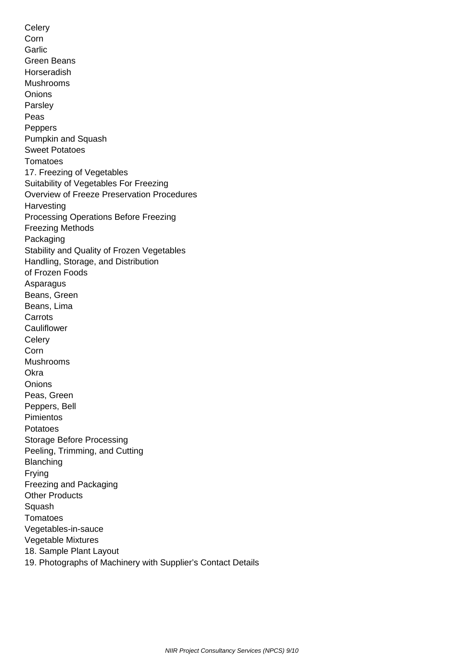Celery Corn Garlic Green Beans Horseradish Mushrooms **Onions**  Parsley Peas **Peppers**  Pumpkin and Squash Sweet Potatoes Tomatoes 17. Freezing of Vegetables Suitability of Vegetables For Freezing Overview of Freeze Preservation Procedures **Harvesting**  Processing Operations Before Freezing Freezing Methods Packaging Stability and Quality of Frozen Vegetables Handling, Storage, and Distribution of Frozen Foods Asparagus Beans, Green Beans, Lima **Carrots Cauliflower Celery**  Corn Mushrooms **Okra Onions**  Peas, Green Peppers, Bell Pimientos Potatoes Storage Before Processing Peeling, Trimming, and Cutting Blanching Frying Freezing and Packaging Other Products Squash **Tomatoes**  Vegetables-in-sauce Vegetable Mixtures 18. Sample Plant Layout 19. Photographs of Machinery with Supplier's Contact Details